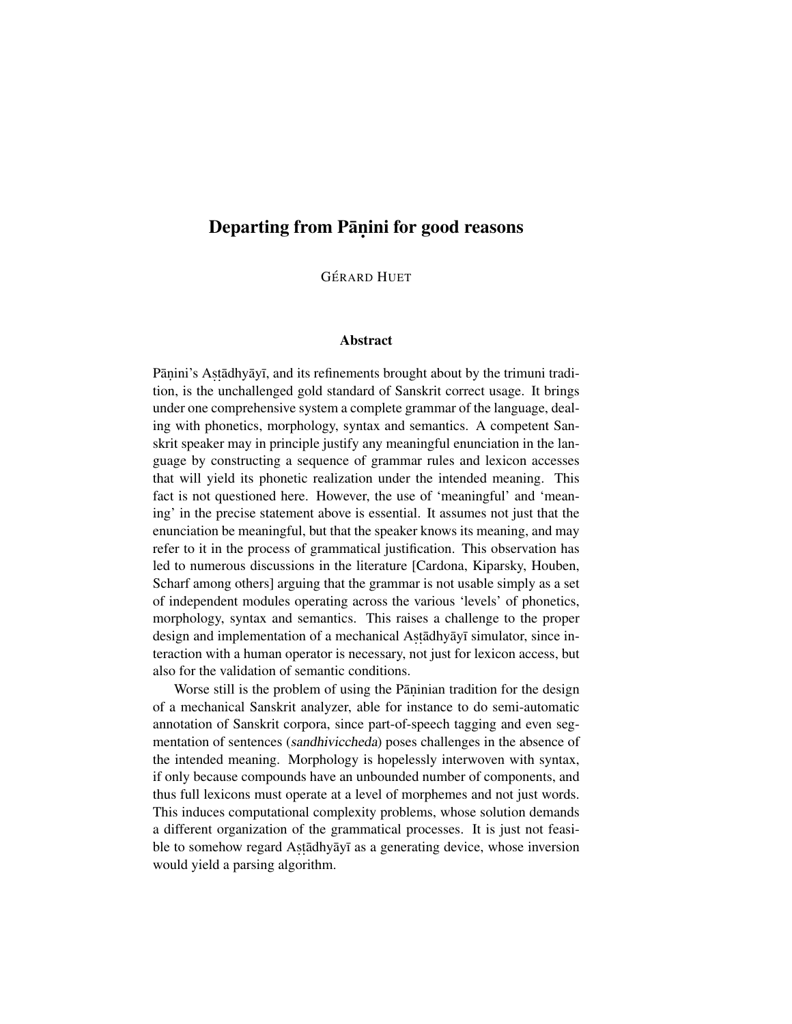## Departing from Pāṇini for good reasons

**GÉRARD HUET** 

## Abstract

Pāṇini's Aṣṭādhyāyī, and its refinements brought about by the trimuni tradition, is the unchallenged gold standard of Sanskrit correct usage. It brings under one comprehensive system a complete grammar of the language, dealing with phonetics, morphology, syntax and semantics. A competent Sanskrit speaker may in principle justify any meaningful enunciation in the language by constructing a sequence of grammar rules and lexicon accesses that will yield its phonetic realization under the intended meaning. This fact is not questioned here. However, the use of 'meaningful' and 'meaning' in the precise statement above is essential. It assumes not just that the enunciation be meaningful, but that the speaker knows its meaning, and may refer to it in the process of grammatical justification. This observation has led to numerous discussions in the literature [Cardona, Kiparsky, Houben, Scharf among others] arguing that the grammar is not usable simply as a set of independent modules operating across the various 'levels' of phonetics, morphology, syntax and semantics. This raises a challenge to the proper design and implementation of a mechanical Astadhyayī simulator, since interaction with a human operator is necessary, not just for lexicon access, but also for the validation of semantic conditions.

Worse still is the problem of using the Pāninian tradition for the design of a mechanical Sanskrit analyzer, able for instance to do semi-automatic annotation of Sanskrit corpora, since part-of-speech tagging and even segmentation of sentences (sandhiviccheda) poses challenges in the absence of the intended meaning. Morphology is hopelessly interwoven with syntax, if only because compounds have an unbounded number of components, and thus full lexicons must operate at a level of morphemes and not just words. This induces computational complexity problems, whose solution demands a different organization of the grammatical processes. It is just not feasible to somehow regard Astadhyayi as a generating device, whose inversion would yield a parsing algorithm.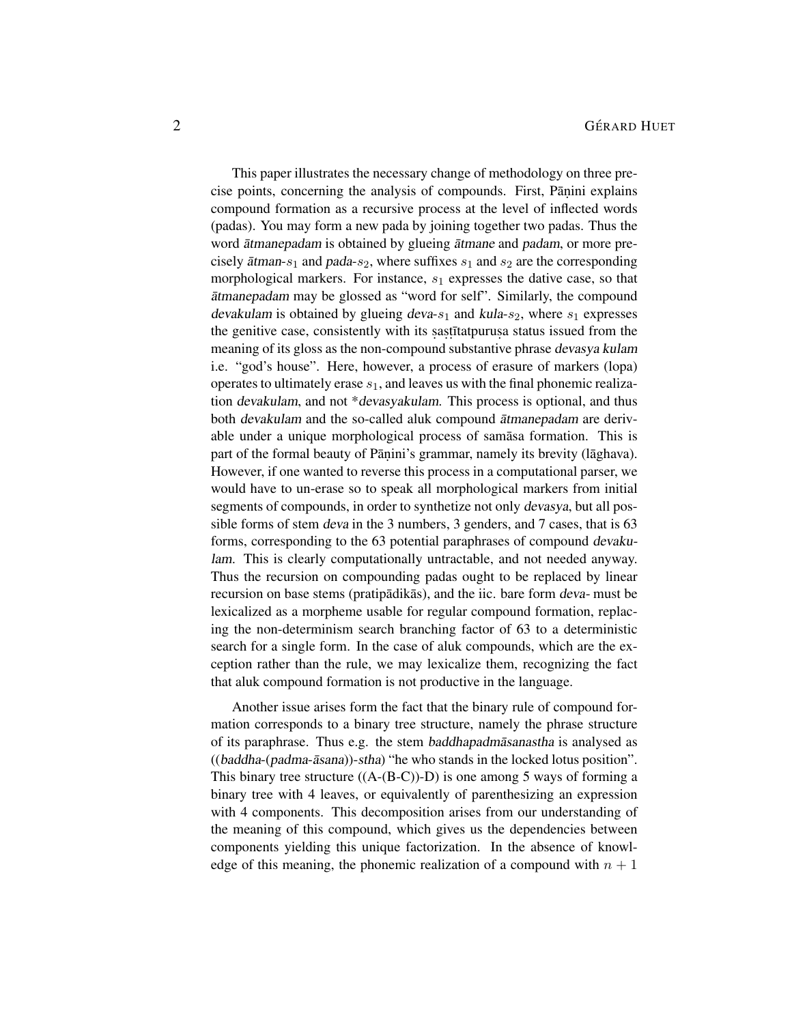This paper illustrates the necessary change of methodology on three precise points, concerning the analysis of compounds. First, Pāṇini explains compound formation as a recursive process at the level of inflected words (padas). You may form a new pada by joining together two padas. Thus the word *atmanepadam* is obtained by glueing *atmane* and *padam*, or more precisely  $\bar{a}$ tman-s<sub>1</sub> and pada-s<sub>2</sub>, where suffixes s<sub>1</sub> and s<sub>2</sub> are the corresponding morphological markers. For instance,  $s_1$  expresses the dative case, so that atmanepadam may be glossed as "word for self". Similarly, the compound devakulam is obtained by glueing deva- $s_1$  and kula- $s_2$ , where  $s_1$  expresses the genitive case, consistently with its sastitatpurusa status issued from the meaning of its gloss as the non-compound substantive phrase devasya kulam i.e. "god's house". Here, however, a process of erasure of markers (lopa) operates to ultimately erase  $s_1$ , and leaves us with the final phonemic realization devakulam, and not \*devasyakulam. This process is optional, and thus both devakulam and the so-called aluk compound ātmanepadam are derivable under a unique morphological process of samasa formation. This is part of the formal beauty of Pāṇini's grammar, namely its brevity (lāghava). However, if one wanted to reverse this process in a computational parser, we would have to un-erase so to speak all morphological markers from initial segments of compounds, in order to synthetize not only devasya, but all possible forms of stem deva in the 3 numbers, 3 genders, and 7 cases, that is 63 forms, corresponding to the 63 potential paraphrases of compound devakulam. This is clearly computationally untractable, and not needed anyway. Thus the recursion on compounding padas ought to be replaced by linear recursion on base stems (pratipadikas), and the iic. bare form deva- must be lexicalized as a morpheme usable for regular compound formation, replacing the non-determinism search branching factor of 63 to a deterministic search for a single form. In the case of aluk compounds, which are the exception rather than the rule, we may lexicalize them, recognizing the fact that aluk compound formation is not productive in the language.

Another issue arises form the fact that the binary rule of compound formation corresponds to a binary tree structure, namely the phrase structure of its paraphrase. Thus e.g. the stem baddhapadmasanastha is analysed as  $((badaha-(padma-āsana))-stha)$  "he who stands in the locked lotus position". This binary tree structure  $((A-(B-C))-D)$  is one among 5 ways of forming a binary tree with 4 leaves, or equivalently of parenthesizing an expression with 4 components. This decomposition arises from our understanding of the meaning of this compound, which gives us the dependencies between components yielding this unique factorization. In the absence of knowledge of this meaning, the phonemic realization of a compound with  $n + 1$